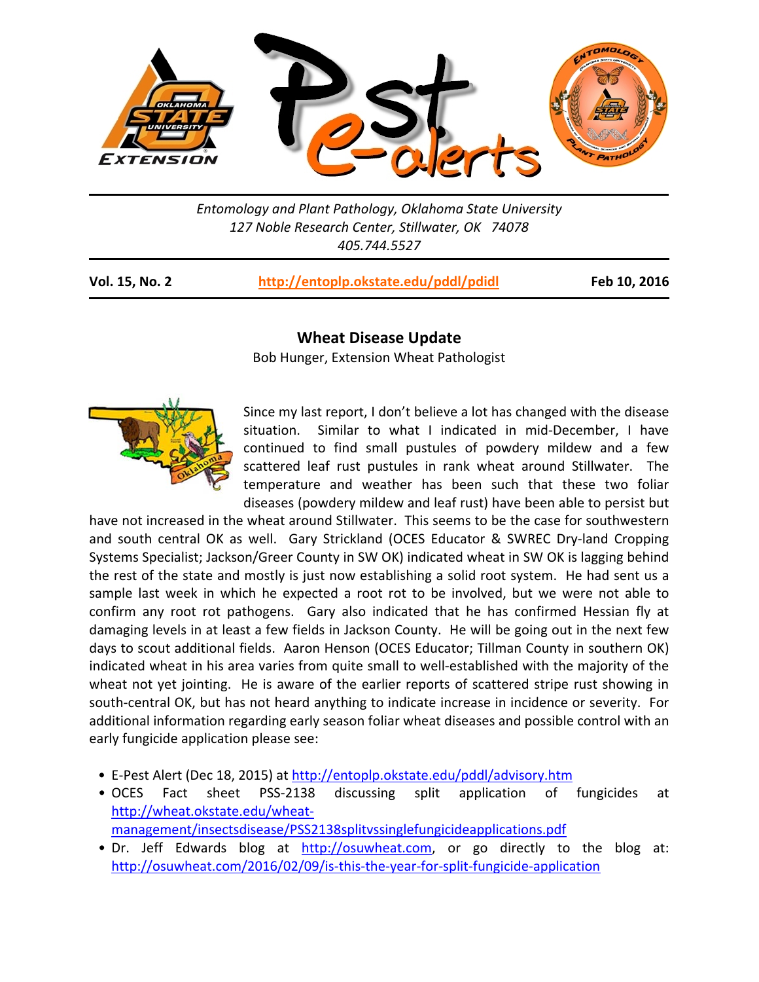

*Entomology and Plant Pathology, Oklahoma State University 127 Noble Research Center, Stillwater, OK 74078 405.744.5527* 

| <b>Vol. 15, No. 2</b> | http://entoplp.okstate.edu/pddl/pdidl |
|-----------------------|---------------------------------------|
|-----------------------|---------------------------------------|

**Vol. 15, No. 2 http://entoplp.okstate.edu/pddl/pdidl Feb 10, 2016**

## **Wheat Disease Update**

Bob Hunger, Extension Wheat Pathologist



Since my last report, I don't believe a lot has changed with the disease situation. Similar to what I indicated in mid-December, I have continued to find small pustules of powdery mildew and a few scattered leaf rust pustules in rank wheat around Stillwater. The temperature and weather has been such that these two foliar diseases (powdery mildew and leaf rust) have been able to persist but

have not increased in the wheat around Stillwater. This seems to be the case for southwestern and south central OK as well. Gary Strickland (OCES Educator & SWREC Dry-land Cropping Systems Specialist; Jackson/Greer County in SW OK) indicated wheat in SW OK is lagging behind the rest of the state and mostly is just now establishing a solid root system. He had sent us a sample last week in which he expected a root rot to be involved, but we were not able to confirm any root rot pathogens. Gary also indicated that he has confirmed Hessian fly at damaging levels in at least a few fields in Jackson County. He will be going out in the next few days to scout additional fields. Aaron Henson (OCES Educator; Tillman County in southern OK) indicated wheat in his area varies from quite small to well‐established with the majority of the wheat not yet jointing. He is aware of the earlier reports of scattered stripe rust showing in south‐central OK, but has not heard anything to indicate increase in incidence or severity. For additional information regarding early season foliar wheat diseases and possible control with an early fungicide application please see:

- E‐Pest Alert (Dec 18, 2015) at http://entoplp.okstate.edu/pddl/advisory.htm
- OCES Fact sheet PSS‐2138 discussing split application of fungicides at http://wheat.okstate.edu/wheat‐ management/insectsdisease/PSS2138splitvssinglefungicideapplications.pdf
- Dr. Jeff Edwards blog at http://osuwheat.com, or go directly to the blog at: http://osuwheat.com/2016/02/09/is-this-the-year-for-split-fungicide-application